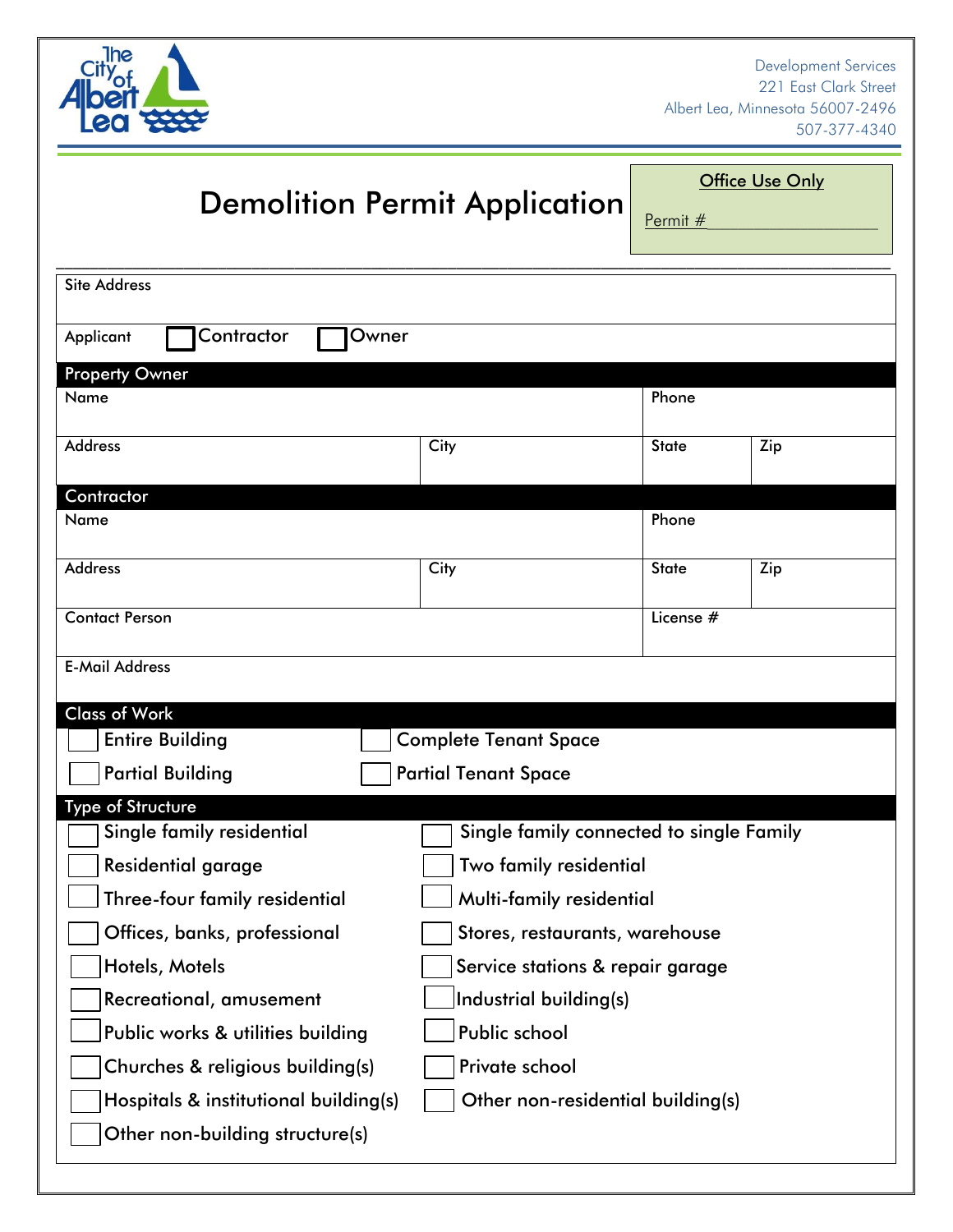

## **Demolition Permit Application**

**Office Use Only** 

<u>Permit  $#$ </u>

| <b>Site Address</b>                                    |                                                                       |              |     |  |  |
|--------------------------------------------------------|-----------------------------------------------------------------------|--------------|-----|--|--|
| Contractor<br>Owner<br>Applicant                       |                                                                       |              |     |  |  |
| <b>Property Owner</b>                                  |                                                                       |              |     |  |  |
| Name                                                   |                                                                       | Phone        |     |  |  |
| <b>Address</b>                                         | City                                                                  | <b>State</b> | Zip |  |  |
| Contractor                                             |                                                                       |              |     |  |  |
| Name                                                   |                                                                       | Phone        |     |  |  |
| <b>Address</b>                                         | City                                                                  | <b>State</b> | Zip |  |  |
| <b>Contact Person</b>                                  |                                                                       | License #    |     |  |  |
| <b>E-Mail Address</b>                                  |                                                                       |              |     |  |  |
| <b>Class of Work</b>                                   |                                                                       |              |     |  |  |
| <b>Entire Building</b>                                 | <b>Complete Tenant Space</b>                                          |              |     |  |  |
| <b>Partial Building</b><br><b>Partial Tenant Space</b> |                                                                       |              |     |  |  |
| <b>Type of Structure</b>                               |                                                                       |              |     |  |  |
|                                                        | Single family connected to single Family<br>Single family residential |              |     |  |  |
| Residential garage                                     | Two family residential                                                |              |     |  |  |
| Three-four family residential                          | Multi-family residential                                              |              |     |  |  |
| Offices, banks, professional                           | Stores, restaurants, warehouse                                        |              |     |  |  |
| Hotels, Motels                                         | Service stations & repair garage                                      |              |     |  |  |
| Recreational, amusement                                | Industrial building(s)                                                |              |     |  |  |
| Public works & utilities building                      | Public school                                                         |              |     |  |  |
| Churches & religious building(s)                       | Private school                                                        |              |     |  |  |
| Hospitals & institutional building(s)                  | Other non-residential building(s)                                     |              |     |  |  |
| Other non-building structure(s)                        |                                                                       |              |     |  |  |